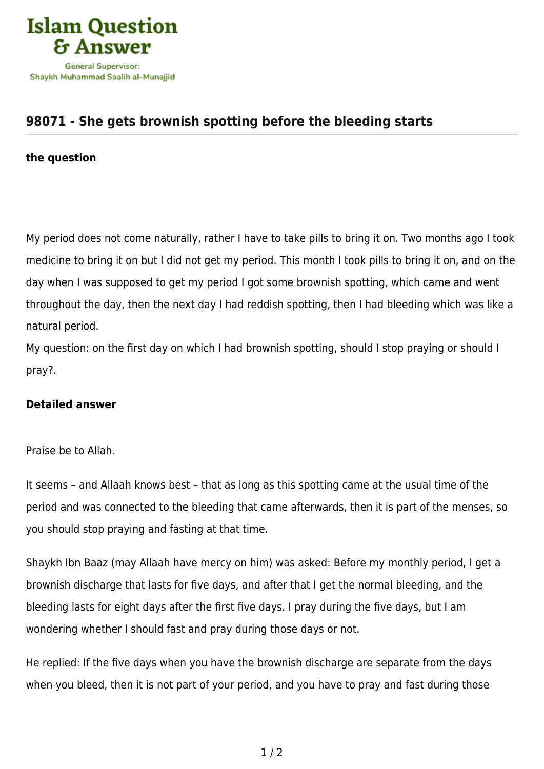

## **[98071 - She gets brownish spotting before the bleeding starts](https://islamqa.ws/en/answers/98071/she-gets-brownish-spotting-before-the-bleeding-starts)**

## **the question**

My period does not come naturally, rather I have to take pills to bring it on. Two months ago I took medicine to bring it on but I did not get my period. This month I took pills to bring it on, and on the day when I was supposed to get my period I got some brownish spotting, which came and went throughout the day, then the next day I had reddish spotting, then I had bleeding which was like a natural period.

My question: on the first day on which I had brownish spotting, should I stop praying or should I pray?.

## **Detailed answer**

Praise be to Allah.

It seems – and Allaah knows best – that as long as this spotting came at the usual time of the period and was connected to the bleeding that came afterwards, then it is part of the menses, so you should stop praying and fasting at that time.

Shaykh Ibn Baaz (may Allaah have mercy on him) was asked: Before my monthly period, I get a brownish discharge that lasts for five days, and after that I get the normal bleeding, and the bleeding lasts for eight days after the first five days. I pray during the five days, but I am wondering whether I should fast and pray during those days or not.

He replied: If the five days when you have the brownish discharge are separate from the days when you bleed, then it is not part of your period, and you have to pray and fast during those